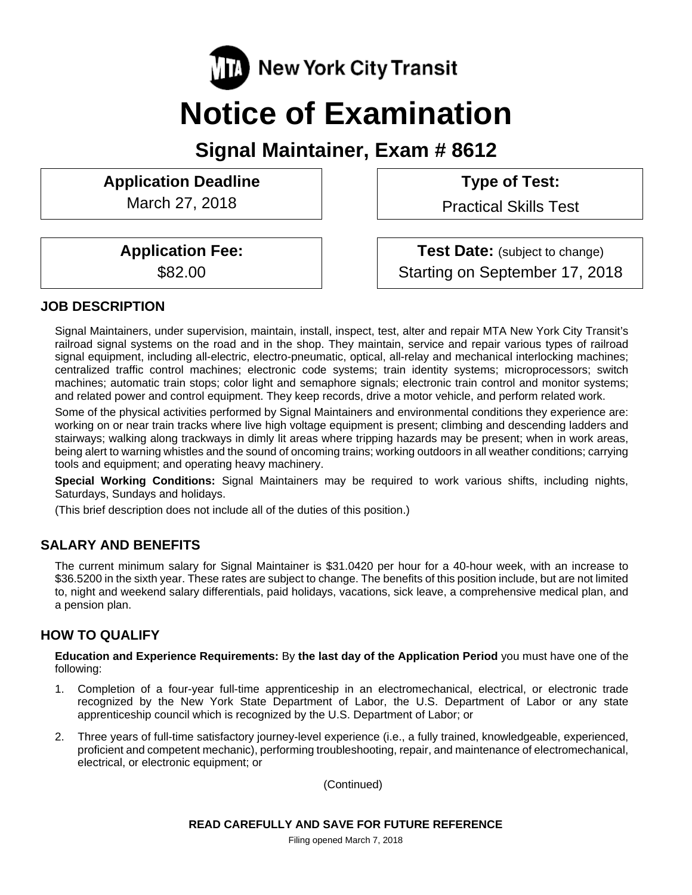

# **Notice of Examination**

**Signal Maintainer, Exam # 8612** 

# Application Deadline **Type of Test:**

March 27, 2018 | Practical Skills Test

**Application Fee:**  $\qquad$  **Test Date:** (subject to change) \$82.00 Starting on September 17, 2018

# **JOB DESCRIPTION**

Signal Maintainers, under supervision, maintain, install, inspect, test, alter and repair MTA New York City Transit's railroad signal systems on the road and in the shop. They maintain, service and repair various types of railroad signal equipment, including all-electric, electro-pneumatic, optical, all-relay and mechanical interlocking machines; centralized traffic control machines; electronic code systems; train identity systems; microprocessors; switch machines; automatic train stops; color light and semaphore signals; electronic train control and monitor systems; and related power and control equipment. They keep records, drive a motor vehicle, and perform related work.

Some of the physical activities performed by Signal Maintainers and environmental conditions they experience are: working on or near train tracks where live high voltage equipment is present; climbing and descending ladders and stairways; walking along trackways in dimly lit areas where tripping hazards may be present; when in work areas, being alert to warning whistles and the sound of oncoming trains; working outdoors in all weather conditions; carrying tools and equipment; and operating heavy machinery.

**Special Working Conditions:** Signal Maintainers may be required to work various shifts, including nights, Saturdays, Sundays and holidays.

(This brief description does not include all of the duties of this position.)

## **SALARY AND BENEFITS**

The current minimum salary for Signal Maintainer is \$31.0420 per hour for a 40-hour week, with an increase to \$36.5200 in the sixth year. These rates are subject to change. The benefits of this position include, but are not limited to, night and weekend salary differentials, paid holidays, vacations, sick leave, a comprehensive medical plan, and a pension plan.

## **HOW TO QUALIFY**

**Education and Experience Requirements:** By **the last day of the Application Period** you must have one of the following:

- 1. Completion of a four-year full-time apprenticeship in an electromechanical, electrical, or electronic trade recognized by the New York State Department of Labor, the U.S. Department of Labor or any state apprenticeship council which is recognized by the U.S. Department of Labor; or
- 2. Three years of full-time satisfactory journey-level experience (i.e., a fully trained, knowledgeable, experienced, proficient and competent mechanic), performing troubleshooting, repair, and maintenance of electromechanical, electrical, or electronic equipment; or

(Continued)

Filing opened March 7, 2018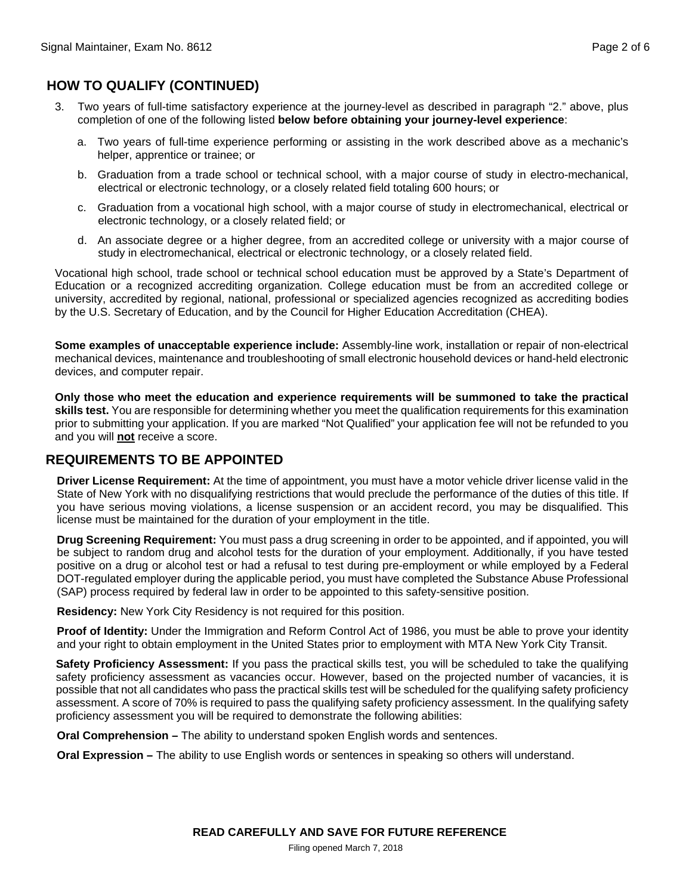## **HOW TO QUALIFY (CONTINUED)**

- 3. Two years of full-time satisfactory experience at the journey-level as described in paragraph "2." above, plus completion of one of the following listed **below before obtaining your journey-level experience**:
	- a. Two years of full-time experience performing or assisting in the work described above as a mechanic's helper, apprentice or trainee; or
	- b. Graduation from a trade school or technical school, with a major course of study in electro-mechanical, electrical or electronic technology, or a closely related field totaling 600 hours; or
	- c. Graduation from a vocational high school, with a major course of study in electromechanical, electrical or electronic technology, or a closely related field; or
	- d. An associate degree or a higher degree, from an accredited college or university with a major course of study in electromechanical, electrical or electronic technology, or a closely related field.

Vocational high school, trade school or technical school education must be approved by a State's Department of Education or a recognized accrediting organization. College education must be from an accredited college or university, accredited by regional, national, professional or specialized agencies recognized as accrediting bodies by the U.S. Secretary of Education, and by the Council for Higher Education Accreditation (CHEA).

**Some examples of unacceptable experience include:** Assembly-line work, installation or repair of non-electrical mechanical devices, maintenance and troubleshooting of small electronic household devices or hand-held electronic devices, and computer repair.

**Only those who meet the education and experience requirements will be summoned to take the practical skills test.** You are responsible for determining whether you meet the qualification requirements for this examination prior to submitting your application. If you are marked "Not Qualified" your application fee will not be refunded to you and you will **not** receive a score.

#### **REQUIREMENTS TO BE APPOINTED**

**Driver License Requirement:** At the time of appointment, you must have a motor vehicle driver license valid in the State of New York with no disqualifying restrictions that would preclude the performance of the duties of this title. If you have serious moving violations, a license suspension or an accident record, you may be disqualified. This license must be maintained for the duration of your employment in the title.

**Drug Screening Requirement:** You must pass a drug screening in order to be appointed, and if appointed, you will be subject to random drug and alcohol tests for the duration of your employment. Additionally, if you have tested positive on a drug or alcohol test or had a refusal to test during pre-employment or while employed by a Federal DOT-regulated employer during the applicable period, you must have completed the Substance Abuse Professional (SAP) process required by federal law in order to be appointed to this safety-sensitive position.

**Residency:** New York City Residency is not required for this position.

**Proof of Identity:** Under the Immigration and Reform Control Act of 1986, you must be able to prove your identity and your right to obtain employment in the United States prior to employment with MTA New York City Transit.

**Safety Proficiency Assessment:** If you pass the practical skills test, you will be scheduled to take the qualifying safety proficiency assessment as vacancies occur. However, based on the projected number of vacancies, it is possible that not all candidates who pass the practical skills test will be scheduled for the qualifying safety proficiency assessment. A score of 70% is required to pass the qualifying safety proficiency assessment. In the qualifying safety proficiency assessment you will be required to demonstrate the following abilities:

**Oral Comprehension –** The ability to understand spoken English words and sentences.

**Oral Expression –** The ability to use English words or sentences in speaking so others will understand.

Filing opened March 7, 2018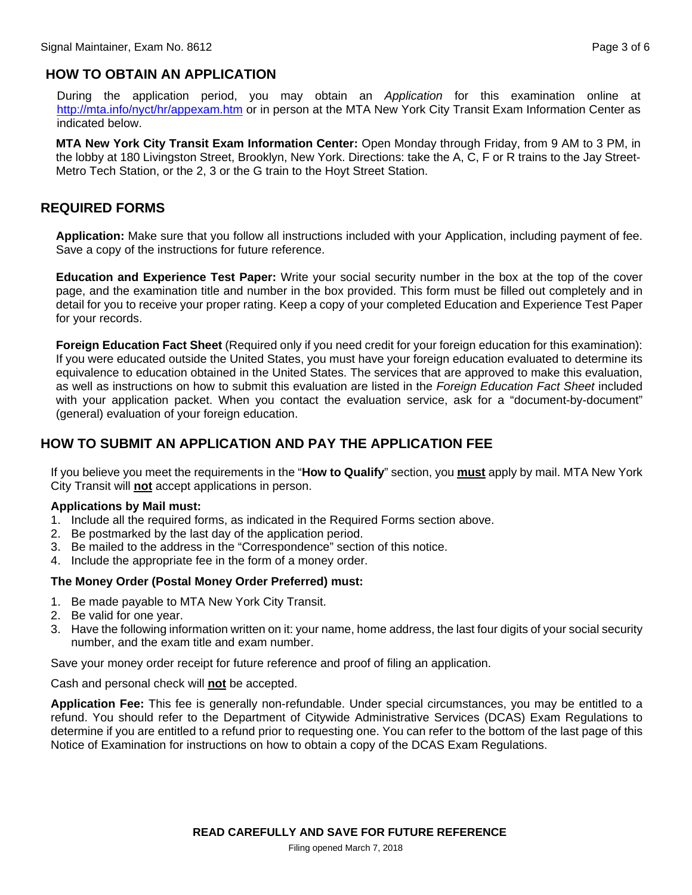# **HOW TO OBTAIN AN APPLICATION**

During the application period, you may obtain an *Application* for this examination online at http://mta.info/nyct/hr/appexam.htm or in person at the MTA New York City Transit Exam Information Center as indicated below.

**MTA New York City Transit Exam Information Center:** Open Monday through Friday, from 9 AM to 3 PM, in the lobby at 180 Livingston Street, Brooklyn, New York. Directions: take the A, C, F or R trains to the Jay Street-Metro Tech Station, or the 2, 3 or the G train to the Hoyt Street Station.

#### **REQUIRED FORMS**

**Application:** Make sure that you follow all instructions included with your Application, including payment of fee. Save a copy of the instructions for future reference.

**Education and Experience Test Paper:** Write your social security number in the box at the top of the cover page, and the examination title and number in the box provided. This form must be filled out completely and in detail for you to receive your proper rating. Keep a copy of your completed Education and Experience Test Paper for your records.

**Foreign Education Fact Sheet** (Required only if you need credit for your foreign education for this examination): If you were educated outside the United States, you must have your foreign education evaluated to determine its equivalence to education obtained in the United States. The services that are approved to make this evaluation, as well as instructions on how to submit this evaluation are listed in the *Foreign Education Fact Sheet* included with your application packet. When you contact the evaluation service, ask for a "document-by-document" (general) evaluation of your foreign education.

### **HOW TO SUBMIT AN APPLICATION AND PAY THE APPLICATION FEE**

If you believe you meet the requirements in the "**How to Qualify**" section, you **must** apply by mail. MTA New York City Transit will **not** accept applications in person.

#### **Applications by Mail must:**

- 1. Include all the required forms, as indicated in the Required Forms section above.
- 2. Be postmarked by the last day of the application period.
- 3. Be mailed to the address in the "Correspondence" section of this notice.
- 4. Include the appropriate fee in the form of a money order.

#### **The Money Order (Postal Money Order Preferred) must:**

- 1. Be made payable to MTA New York City Transit.
- 2. Be valid for one year.
- 3. Have the following information written on it: your name, home address, the last four digits of your social security number, and the exam title and exam number.

Save your money order receipt for future reference and proof of filing an application.

Cash and personal check will **not** be accepted.

**Application Fee:** This fee is generally non-refundable. Under special circumstances, you may be entitled to a refund. You should refer to the Department of Citywide Administrative Services (DCAS) Exam Regulations to determine if you are entitled to a refund prior to requesting one. You can refer to the bottom of the last page of this Notice of Examination for instructions on how to obtain a copy of the DCAS Exam Regulations.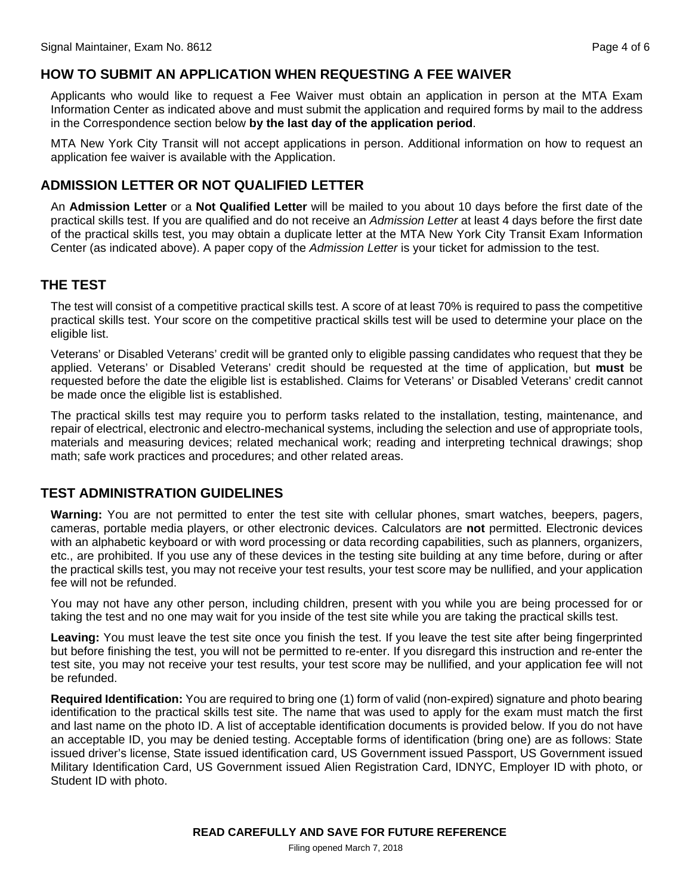#### **HOW TO SUBMIT AN APPLICATION WHEN REQUESTING A FEE WAIVER**

Applicants who would like to request a Fee Waiver must obtain an application in person at the MTA Exam Information Center as indicated above and must submit the application and required forms by mail to the address in the Correspondence section below **by the last day of the application period**.

MTA New York City Transit will not accept applications in person. Additional information on how to request an application fee waiver is available with the Application.

#### **ADMISSION LETTER OR NOT QUALIFIED LETTER**

An **Admission Letter** or a **Not Qualified Letter** will be mailed to you about 10 days before the first date of the practical skills test. If you are qualified and do not receive an *Admission Letter* at least 4 days before the first date of the practical skills test, you may obtain a duplicate letter at the MTA New York City Transit Exam Information Center (as indicated above). A paper copy of the *Admission Letter* is your ticket for admission to the test.

#### **THE TEST**

The test will consist of a competitive practical skills test. A score of at least 70% is required to pass the competitive practical skills test. Your score on the competitive practical skills test will be used to determine your place on the eligible list.

Veterans' or Disabled Veterans' credit will be granted only to eligible passing candidates who request that they be applied. Veterans' or Disabled Veterans' credit should be requested at the time of application, but **must** be requested before the date the eligible list is established. Claims for Veterans' or Disabled Veterans' credit cannot be made once the eligible list is established.

The practical skills test may require you to perform tasks related to the installation, testing, maintenance, and repair of electrical, electronic and electro-mechanical systems, including the selection and use of appropriate tools, materials and measuring devices; related mechanical work; reading and interpreting technical drawings; shop math; safe work practices and procedures; and other related areas.

#### **TEST ADMINISTRATION GUIDELINES**

**Warning:** You are not permitted to enter the test site with cellular phones, smart watches, beepers, pagers, cameras, portable media players, or other electronic devices. Calculators are **not** permitted. Electronic devices with an alphabetic keyboard or with word processing or data recording capabilities, such as planners, organizers, etc., are prohibited. If you use any of these devices in the testing site building at any time before, during or after the practical skills test, you may not receive your test results, your test score may be nullified, and your application fee will not be refunded.

You may not have any other person, including children, present with you while you are being processed for or taking the test and no one may wait for you inside of the test site while you are taking the practical skills test.

**Leaving:** You must leave the test site once you finish the test. If you leave the test site after being fingerprinted but before finishing the test, you will not be permitted to re-enter. If you disregard this instruction and re-enter the test site, you may not receive your test results, your test score may be nullified, and your application fee will not be refunded.

**Required Identification:** You are required to bring one (1) form of valid (non-expired) signature and photo bearing identification to the practical skills test site. The name that was used to apply for the exam must match the first and last name on the photo ID. A list of acceptable identification documents is provided below. If you do not have an acceptable ID, you may be denied testing. Acceptable forms of identification (bring one) are as follows: State issued driver's license, State issued identification card, US Government issued Passport, US Government issued Military Identification Card, US Government issued Alien Registration Card, IDNYC, Employer ID with photo, or Student ID with photo.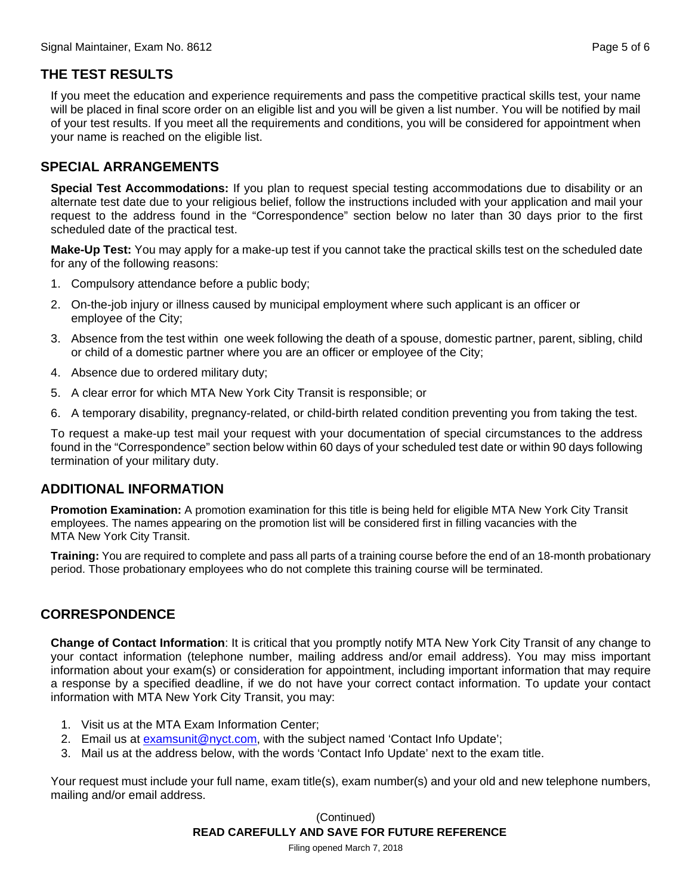#### **THE TEST RESULTS**

If you meet the education and experience requirements and pass the competitive practical skills test, your name will be placed in final score order on an eligible list and you will be given a list number. You will be notified by mail of your test results. If you meet all the requirements and conditions, you will be considered for appointment when your name is reached on the eligible list.

#### **SPECIAL ARRANGEMENTS**

**Special Test Accommodations:** If you plan to request special testing accommodations due to disability or an alternate test date due to your religious belief, follow the instructions included with your application and mail your request to the address found in the "Correspondence" section below no later than 30 days prior to the first scheduled date of the practical test.

**Make-Up Test:** You may apply for a make-up test if you cannot take the practical skills test on the scheduled date for any of the following reasons:

- 1. Compulsory attendance before a public body;
- 2. On-the-job injury or illness caused by municipal employment where such applicant is an officer or employee of the City;
- 3. Absence from the test within one week following the death of a spouse, domestic partner, parent, sibling, child or child of a domestic partner where you are an officer or employee of the City;
- 4. Absence due to ordered military duty;
- 5. A clear error for which MTA New York City Transit is responsible; or
- 6. A temporary disability, pregnancy-related, or child-birth related condition preventing you from taking the test.

To request a make-up test mail your request with your documentation of special circumstances to the address found in the "Correspondence" section below within 60 days of your scheduled test date or within 90 days following termination of your military duty.

#### **ADDITIONAL INFORMATION**

**Promotion Examination:** A promotion examination for this title is being held for eligible MTA New York City Transit employees. The names appearing on the promotion list will be considered first in filling vacancies with the MTA New York City Transit.

**Training:** You are required to complete and pass all parts of a training course before the end of an 18-month probationary period. Those probationary employees who do not complete this training course will be terminated.

#### **CORRESPONDENCE**

**Change of Contact Information**: It is critical that you promptly notify MTA New York City Transit of any change to your contact information (telephone number, mailing address and/or email address). You may miss important information about your exam(s) or consideration for appointment, including important information that may require a response by a specified deadline, if we do not have your correct contact information. To update your contact information with MTA New York City Transit, you may:

- 1. Visit us at the MTA Exam Information Center;
- 2. Email us at examsunit@nyct.com, with the subject named 'Contact Info Update';
- 3. Mail us at the address below, with the words 'Contact Info Update' next to the exam title.

Your request must include your full name, exam title(s), exam number(s) and your old and new telephone numbers, mailing and/or email address.

> **READ CAREFULLY AND SAVE FOR FUTURE REFERENCE**  (Continued)

Filing opened March 7, 2018